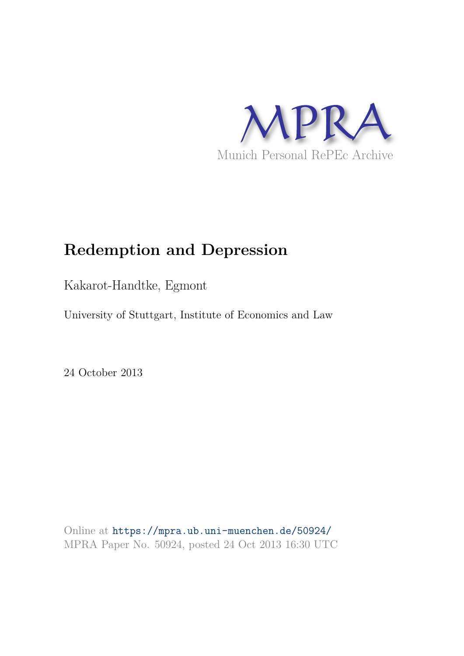

# **Redemption and Depression**

Kakarot-Handtke, Egmont

University of Stuttgart, Institute of Economics and Law

24 October 2013

Online at https://mpra.ub.uni-muenchen.de/50924/ MPRA Paper No. 50924, posted 24 Oct 2013 16:30 UTC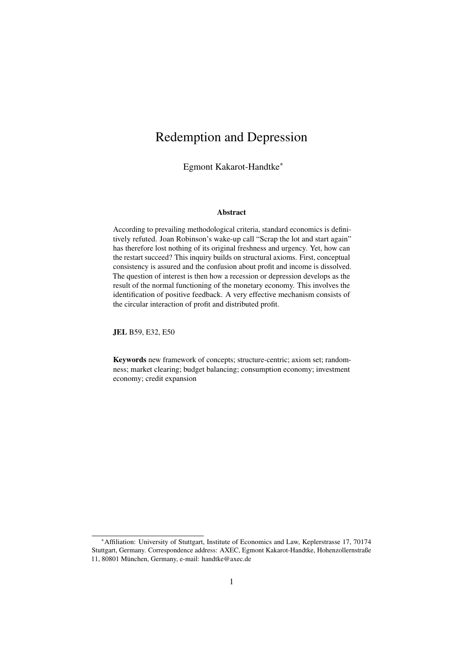## Redemption and Depression

Egmont Kakarot-Handtke\*

#### Abstract

According to prevailing methodological criteria, standard economics is definitively refuted. Joan Robinson's wake-up call "Scrap the lot and start again" has therefore lost nothing of its original freshness and urgency. Yet, how can the restart succeed? This inquiry builds on structural axioms. First, conceptual consistency is assured and the confusion about profit and income is dissolved. The question of interest is then how a recession or depression develops as the result of the normal functioning of the monetary economy. This involves the identification of positive feedback. A very effective mechanism consists of the circular interaction of profit and distributed profit.

JEL B59, E32, E50

Keywords new framework of concepts; structure-centric; axiom set; randomness; market clearing; budget balancing; consumption economy; investment economy; credit expansion

<sup>\*</sup>Affiliation: University of Stuttgart, Institute of Economics and Law, Keplerstrasse 17, 70174 Stuttgart, Germany. Correspondence address: AXEC, Egmont Kakarot-Handtke, Hohenzollernstraße 11, 80801 München, Germany, e-mail: handtke@axec.de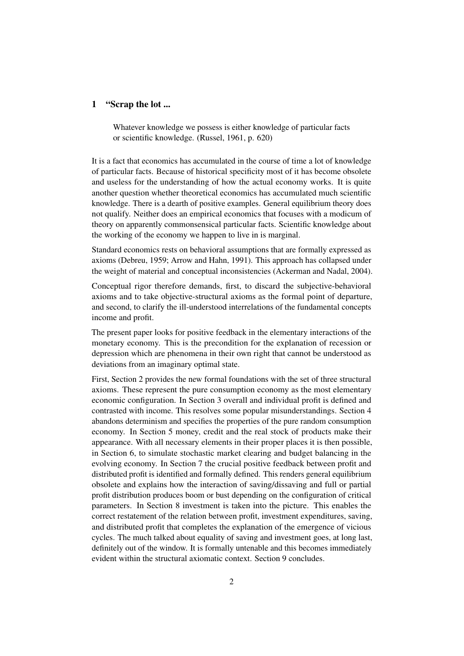#### 1 "Scrap the lot ...

Whatever knowledge we possess is either knowledge of particular facts or scientific knowledge. (Russel, 1961, p. 620)

It is a fact that economics has accumulated in the course of time a lot of knowledge of particular facts. Because of historical specificity most of it has become obsolete and useless for the understanding of how the actual economy works. It is quite another question whether theoretical economics has accumulated much scientific knowledge. There is a dearth of positive examples. General equilibrium theory does not qualify. Neither does an empirical economics that focuses with a modicum of theory on apparently commonsensical particular facts. Scientific knowledge about the working of the economy we happen to live in is marginal.

Standard economics rests on behavioral assumptions that are formally expressed as axioms (Debreu, 1959; Arrow and Hahn, 1991). This approach has collapsed under the weight of material and conceptual inconsistencies (Ackerman and Nadal, 2004).

Conceptual rigor therefore demands, first, to discard the subjective-behavioral axioms and to take objective-structural axioms as the formal point of departure, and second, to clarify the ill-understood interrelations of the fundamental concepts income and profit.

The present paper looks for positive feedback in the elementary interactions of the monetary economy. This is the precondition for the explanation of recession or depression which are phenomena in their own right that cannot be understood as deviations from an imaginary optimal state.

First, Section 2 provides the new formal foundations with the set of three structural axioms. These represent the pure consumption economy as the most elementary economic configuration. In Section 3 overall and individual profit is defined and contrasted with income. This resolves some popular misunderstandings. Section 4 abandons determinism and specifies the properties of the pure random consumption economy. In Section 5 money, credit and the real stock of products make their appearance. With all necessary elements in their proper places it is then possible, in Section 6, to simulate stochastic market clearing and budget balancing in the evolving economy. In Section 7 the crucial positive feedback between profit and distributed profit is identified and formally defined. This renders general equilibrium obsolete and explains how the interaction of saving/dissaving and full or partial profit distribution produces boom or bust depending on the configuration of critical parameters. In Section 8 investment is taken into the picture. This enables the correct restatement of the relation between profit, investment expenditures, saving, and distributed profit that completes the explanation of the emergence of vicious cycles. The much talked about equality of saving and investment goes, at long last, definitely out of the window. It is formally untenable and this becomes immediately evident within the structural axiomatic context. Section 9 concludes.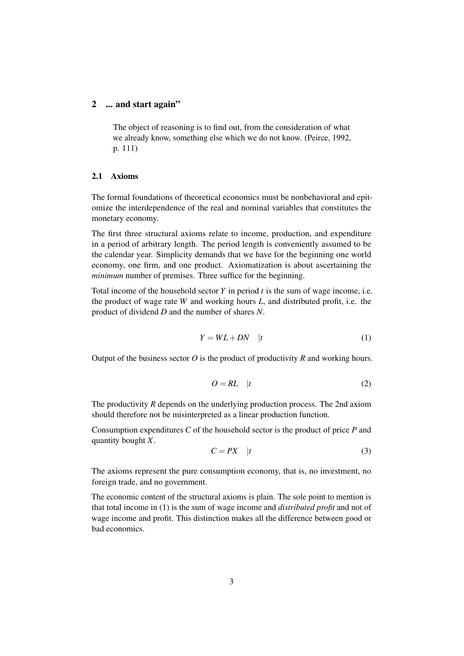#### 2 ... and start again"

The object of reasoning is to find out, from the consideration of what we already know, something else which we do not know. (Peirce, 1992, p. 111)

#### 2.1 Axioms

The formal foundations of theoretical economics must be nonbehavioral and epitomize the interdependence of the real and nominal variables that constitutes the monetary economy.

The first three structural axioms relate to income, production, and expenditure in a period of arbitrary length. The period length is conveniently assumed to be the calendar year. Simplicity demands that we have for the beginning one world economy, one firm, and one product. Axiomatization is about ascertaining the *minimum* number of premises. Three suffice for the beginning.

Total income of the household sector *Y* in period *t* is the sum of wage income, i.e. the product of wage rate *W* and working hours *L*, and distributed profit, i.e. the product of dividend *D* and the number of shares *N*.

$$
Y = WL + DN \quad |t \tag{1}
$$

Output of the business sector *O* is the product of productivity *R* and working hours.

$$
O = RL \quad |t \tag{2}
$$

The productivity *R* depends on the underlying production process. The 2nd axiom should therefore not be misinterpreted as a linear production function.

Consumption expenditures *C* of the household sector is the product of price *P* and quantity bought *X*.

$$
C = PX \t|t \t(3)
$$

The axioms represent the pure consumption economy, that is, no investment, no foreign trade, and no government.

The economic content of the structural axioms is plain. The sole point to mention is that total income in (1) is the sum of wage income and *distributed profit* and not of wage income and profit. This distinction makes all the difference between good or bad economics.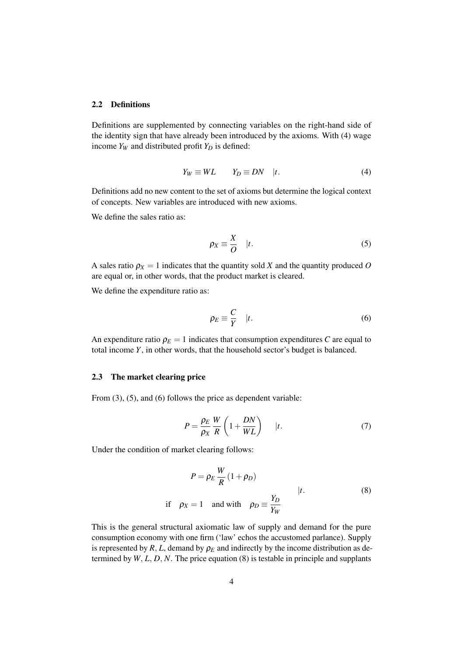#### 2.2 Definitions

Definitions are supplemented by connecting variables on the right-hand side of the identity sign that have already been introduced by the axioms. With (4) wage income  $Y_W$  and distributed profit  $Y_D$  is defined:

$$
Y_W \equiv WL \qquad Y_D \equiv DN \quad |t. \tag{4}
$$

Definitions add no new content to the set of axioms but determine the logical context of concepts. New variables are introduced with new axioms.

We define the sales ratio as:

$$
\rho_X \equiv \frac{X}{O} \quad |t. \tag{5}
$$

A sales ratio  $\rho_X = 1$  indicates that the quantity sold *X* and the quantity produced *O* are equal or, in other words, that the product market is cleared.

We define the expenditure ratio as:

$$
\rho_E \equiv \frac{C}{Y} \quad |t. \tag{6}
$$

An expenditure ratio  $\rho_E = 1$  indicates that consumption expenditures *C* are equal to total income *Y*, in other words, that the household sector's budget is balanced.

#### 2.3 The market clearing price

From  $(3)$ ,  $(5)$ , and  $(6)$  follows the price as dependent variable:

$$
P = \frac{\rho_E}{\rho_X} \frac{W}{R} \left( 1 + \frac{DN}{WL} \right) \qquad |t. \tag{7}
$$

Under the condition of market clearing follows:

$$
P = \rho_E \frac{W}{R} (1 + \rho_D)
$$
  
if  $\rho_X = 1$  and with  $\rho_D \equiv \frac{Y_D}{Y_W}$   $|t.$  (8)

This is the general structural axiomatic law of supply and demand for the pure consumption economy with one firm ('law' echos the accustomed parlance). Supply is represented by  $R$ ,  $L$ , demand by  $\rho_E$  and indirectly by the income distribution as determined by *W*, *L*, *D*, *N*. The price equation (8) is testable in principle and supplants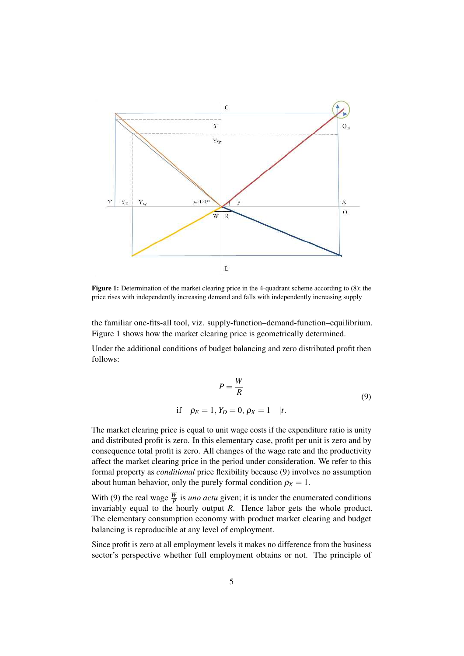

Figure 1: Determination of the market clearing price in the 4-quadrant scheme according to (8); the price rises with independently increasing demand and falls with independently increasing supply

the familiar one-fits-all tool, viz. supply-function–demand-function–equilibrium. Figure 1 shows how the market clearing price is geometrically determined.

Under the additional conditions of budget balancing and zero distributed profit then follows:

$$
P = \frac{W}{R}
$$
  
if  $\rho_E = 1, Y_D = 0, \rho_X = 1$  |t. (9)

The market clearing price is equal to unit wage costs if the expenditure ratio is unity and distributed profit is zero. In this elementary case, profit per unit is zero and by consequence total profit is zero. All changes of the wage rate and the productivity affect the market clearing price in the period under consideration. We refer to this formal property as *conditional* price flexibility because (9) involves no assumption about human behavior, only the purely formal condition  $\rho_X = 1$ .

With (9) the real wage  $\frac{W}{P}$  is *uno actu* given; it is under the enumerated conditions invariably equal to the hourly output *R*. Hence labor gets the whole product. The elementary consumption economy with product market clearing and budget balancing is reproducible at any level of employment.

Since profit is zero at all employment levels it makes no difference from the business sector's perspective whether full employment obtains or not. The principle of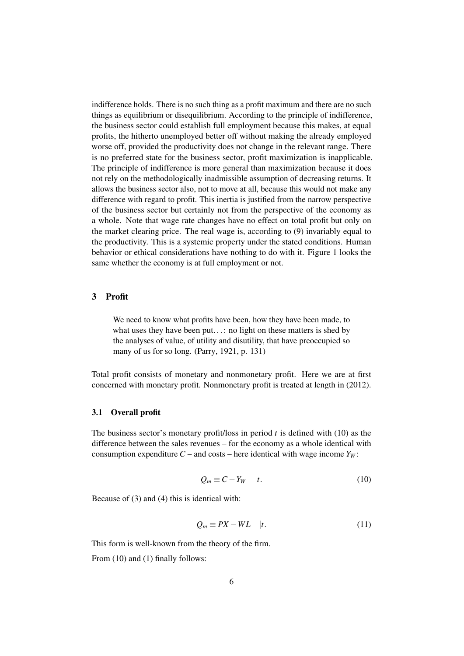indifference holds. There is no such thing as a profit maximum and there are no such things as equilibrium or disequilibrium. According to the principle of indifference, the business sector could establish full employment because this makes, at equal profits, the hitherto unemployed better off without making the already employed worse off, provided the productivity does not change in the relevant range. There is no preferred state for the business sector, profit maximization is inapplicable. The principle of indifference is more general than maximization because it does not rely on the methodologically inadmissible assumption of decreasing returns. It allows the business sector also, not to move at all, because this would not make any difference with regard to profit. This inertia is justified from the narrow perspective of the business sector but certainly not from the perspective of the economy as a whole. Note that wage rate changes have no effect on total profit but only on the market clearing price. The real wage is, according to (9) invariably equal to the productivity. This is a systemic property under the stated conditions. Human behavior or ethical considerations have nothing to do with it. Figure 1 looks the same whether the economy is at full employment or not.

#### 3 Profit

We need to know what profits have been, how they have been made, to what uses they have been put...: no light on these matters is shed by the analyses of value, of utility and disutility, that have preoccupied so many of us for so long. (Parry, 1921, p. 131)

Total profit consists of monetary and nonmonetary profit. Here we are at first concerned with monetary profit. Nonmonetary profit is treated at length in (2012).

#### 3.1 Overall profit

The business sector's monetary profit/loss in period *t* is defined with (10) as the difference between the sales revenues – for the economy as a whole identical with consumption expenditure  $C$  – and costs – here identical with wage income  $Y_W$ :

$$
Q_m \equiv C - Y_W \quad |t. \tag{10}
$$

Because of (3) and (4) this is identical with:

$$
Q_m \equiv PX - WL \quad |t. \tag{11}
$$

This form is well-known from the theory of the firm.

From (10) and (1) finally follows: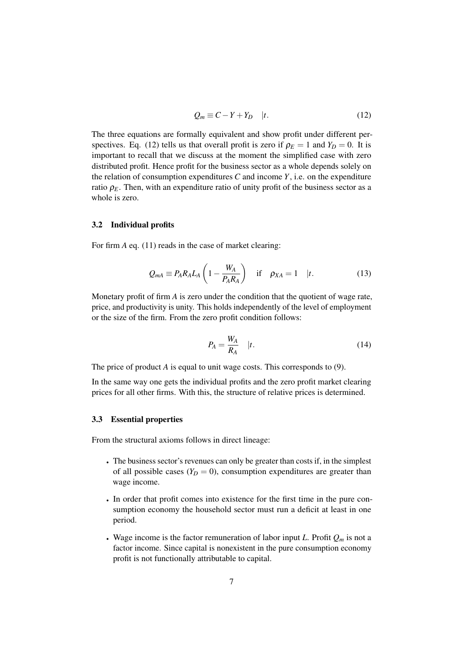$$
Q_m \equiv C - Y + Y_D \quad |t. \tag{12}
$$

The three equations are formally equivalent and show profit under different perspectives. Eq. (12) tells us that overall profit is zero if  $\rho_E = 1$  and  $Y_D = 0$ . It is important to recall that we discuss at the moment the simplified case with zero distributed profit. Hence profit for the business sector as a whole depends solely on the relation of consumption expenditures *C* and income *Y*, i.e. on the expenditure ratio  $\rho_E$ . Then, with an expenditure ratio of unity profit of the business sector as a whole is zero.

#### 3.2 Individual profits

For firm *A* eq. (11) reads in the case of market clearing:

$$
Q_{mA} \equiv P_A R_A L_A \left( 1 - \frac{W_A}{P_A R_A} \right) \quad \text{if} \quad \rho_{XA} = 1 \quad |t. \tag{13}
$$

Monetary profit of firm *A* is zero under the condition that the quotient of wage rate, price, and productivity is unity. This holds independently of the level of employment or the size of the firm. From the zero profit condition follows:

$$
P_A = \frac{W_A}{R_A} \quad |t. \tag{14}
$$

The price of product *A* is equal to unit wage costs. This corresponds to (9).

In the same way one gets the individual profits and the zero profit market clearing prices for all other firms. With this, the structure of relative prices is determined.

#### 3.3 Essential properties

From the structural axioms follows in direct lineage:

- The business sector's revenues can only be greater than costs if, in the simplest of all possible cases  $(Y_D = 0)$ , consumption expenditures are greater than wage income.
- In order that profit comes into existence for the first time in the pure consumption economy the household sector must run a deficit at least in one period.
- Wage income is the factor remuneration of labor input *L*. Profit  $Q_m$  is not a factor income. Since capital is nonexistent in the pure consumption economy profit is not functionally attributable to capital.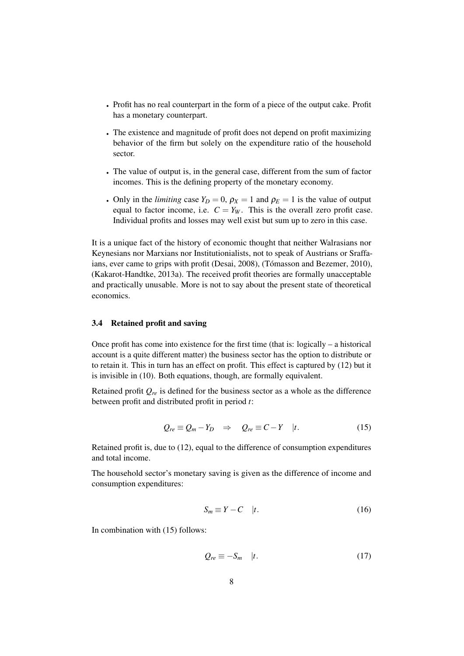- Profit has no real counterpart in the form of a piece of the output cake. Profit has a monetary counterpart.
- The existence and magnitude of profit does not depend on profit maximizing behavior of the firm but solely on the expenditure ratio of the household sector.
- The value of output is, in the general case, different from the sum of factor incomes. This is the defining property of the monetary economy.
- Only in the *limiting* case  $Y_D = 0$ ,  $\rho_X = 1$  and  $\rho_E = 1$  is the value of output equal to factor income, i.e.  $C = Y_W$ . This is the overall zero profit case. Individual profits and losses may well exist but sum up to zero in this case.

It is a unique fact of the history of economic thought that neither Walrasians nor Keynesians nor Marxians nor Institutionialists, not to speak of Austrians or Sraffaians, ever came to grips with profit (Desai, 2008), (Tómasson and Bezemer, 2010), (Kakarot-Handtke, 2013a). The received profit theories are formally unacceptable and practically unusable. More is not to say about the present state of theoretical economics.

#### 3.4 Retained profit and saving

Once profit has come into existence for the first time (that is: logically – a historical account is a quite different matter) the business sector has the option to distribute or to retain it. This in turn has an effect on profit. This effect is captured by (12) but it is invisible in (10). Both equations, though, are formally equivalent.

Retained profit  $Q_{re}$  is defined for the business sector as a whole as the difference between profit and distributed profit in period *t*:

$$
Q_{re} \equiv Q_m - Y_D \quad \Rightarrow \quad Q_{re} \equiv C - Y \quad |t. \tag{15}
$$

Retained profit is, due to (12), equal to the difference of consumption expenditures and total income.

The household sector's monetary saving is given as the difference of income and consumption expenditures:

$$
S_m \equiv Y - C \quad |t. \tag{16}
$$

In combination with (15) follows:

$$
Q_{re} \equiv -S_m \quad |t. \tag{17}
$$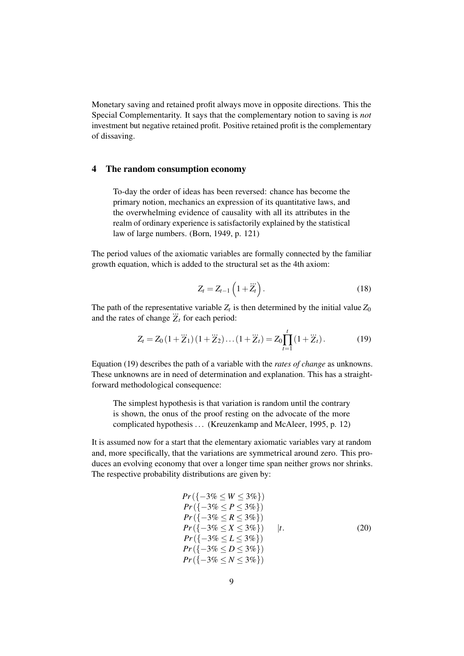Monetary saving and retained profit always move in opposite directions. This the Special Complementarity. It says that the complementary notion to saving is *not* investment but negative retained profit. Positive retained profit is the complementary of dissaving.

#### 4 The random consumption economy

To-day the order of ideas has been reversed: chance has become the primary notion, mechanics an expression of its quantitative laws, and the overwhelming evidence of causality with all its attributes in the realm of ordinary experience is satisfactorily explained by the statistical law of large numbers. (Born, 1949, p. 121)

The period values of the axiomatic variables are formally connected by the familiar growth equation, which is added to the structural set as the 4th axiom:

$$
Z_t = Z_{t-1} \left( 1 + \dddot{Z}_t \right). \tag{18}
$$

The path of the representative variable  $Z_t$  is then determined by the initial value  $Z_0$ and the rates of change  $Z_t$  for each period:

$$
Z_t = Z_0 \left( 1 + \dddot{Z}_1 \right) \left( 1 + \dddot{Z}_2 \right) \dots \left( 1 + \dddot{Z}_t \right) = Z_0 \prod_{t=1}^t \left( 1 + \dddot{Z}_t \right). \tag{19}
$$

Equation (19) describes the path of a variable with the *rates of change* as unknowns. These unknowns are in need of determination and explanation. This has a straightforward methodological consequence:

The simplest hypothesis is that variation is random until the contrary is shown, the onus of the proof resting on the advocate of the more complicated hypothesis ... (Kreuzenkamp and McAleer, 1995, p. 12)

It is assumed now for a start that the elementary axiomatic variables vary at random and, more specifically, that the variations are symmetrical around zero. This produces an evolving economy that over a longer time span neither grows nor shrinks. The respective probability distributions are given by:

$$
Pr({-3\% \le W \le 3\%})
$$
  
\n
$$
Pr({-3\% \le P \le 3\%})
$$
  
\n
$$
Pr({-3\% \le R \le 3\%})
$$
  
\n
$$
Pr({-3\% \le X \le 3\%})
$$
  
\n
$$
Pr({-3\% \le L \le 3\%})
$$
  
\n
$$
Pr({-3\% \le D \le 3\%})
$$
  
\n
$$
Pr({-3\% \le N \le 3\%})
$$
  
\n(20)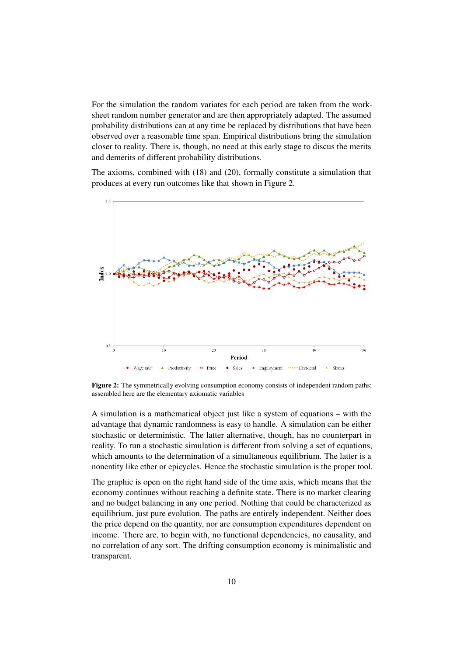For the simulation the random variates for each period are taken from the worksheet random number generator and are then appropriately adapted. The assumed probability distributions can at any time be replaced by distributions that have been observed over a reasonable time span. Empirical distributions bring the simulation closer to reality. There is, though, no need at this early stage to discus the merits and demerits of different probability distributions.

The axioms, combined with (18) and (20), formally constitute a simulation that produces at every run outcomes like that shown in Figure 2.



Figure 2: The symmetrically evolving consumption economy consists of independent random paths; assembled here are the elementary axiomatic variables

A simulation is a mathematical object just like a system of equations – with the advantage that dynamic randomness is easy to handle. A simulation can be either stochastic or deterministic. The latter alternative, though, has no counterpart in reality. To run a stochastic simulation is different from solving a set of equations, which amounts to the determination of a simultaneous equilibrium. The latter is a nonentity like ether or epicycles. Hence the stochastic simulation is the proper tool.

The graphic is open on the right hand side of the time axis, which means that the economy continues without reaching a definite state. There is no market clearing and no budget balancing in any one period. Nothing that could be characterized as equilibrium, just pure evolution. The paths are entirely independent. Neither does the price depend on the quantity, nor are consumption expenditures dependent on income. There are, to begin with, no functional dependencies, no causality, and no correlation of any sort. The drifting consumption economy is minimalistic and transparent.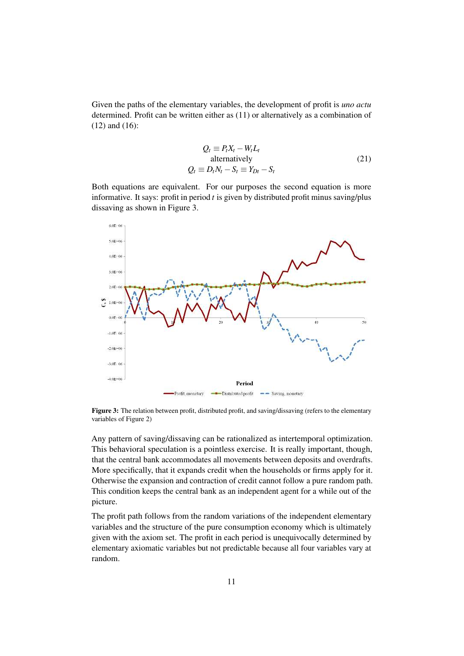Given the paths of the elementary variables, the development of profit is *uno actu* determined. Profit can be written either as (11) or alternatively as a combination of (12) and (16):

$$
Q_t \equiv P_t X_t - W_t L_t
$$
  
alternatively  

$$
Q_t \equiv D_t N_t - S_t \equiv Y_{Dt} - S_t
$$
 (21)

Both equations are equivalent. For our purposes the second equation is more informative. It says: profit in period *t* is given by distributed profit minus saving/plus dissaving as shown in Figure 3.



Figure 3: The relation between profit, distributed profit, and saving/dissaving (refers to the elementary variables of Figure 2)

Any pattern of saving/dissaving can be rationalized as intertemporal optimization. This behavioral speculation is a pointless exercise. It is really important, though, that the central bank accommodates all movements between deposits and overdrafts. More specifically, that it expands credit when the households or firms apply for it. Otherwise the expansion and contraction of credit cannot follow a pure random path. This condition keeps the central bank as an independent agent for a while out of the picture.

The profit path follows from the random variations of the independent elementary variables and the structure of the pure consumption economy which is ultimately given with the axiom set. The profit in each period is unequivocally determined by elementary axiomatic variables but not predictable because all four variables vary at random.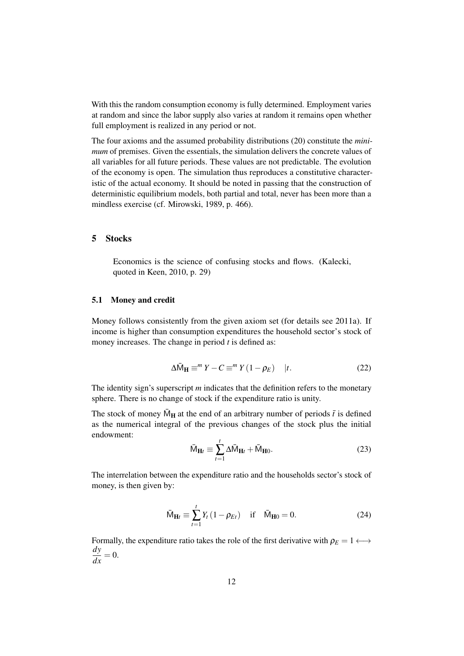With this the random consumption economy is fully determined. Employment varies at random and since the labor supply also varies at random it remains open whether full employment is realized in any period or not.

The four axioms and the assumed probability distributions (20) constitute the *minimum* of premises. Given the essentials, the simulation delivers the concrete values of all variables for all future periods. These values are not predictable. The evolution of the economy is open. The simulation thus reproduces a constitutive characteristic of the actual economy. It should be noted in passing that the construction of deterministic equilibrium models, both partial and total, never has been more than a mindless exercise (cf. Mirowski, 1989, p. 466).

#### 5 Stocks

Economics is the science of confusing stocks and flows. (Kalecki, quoted in Keen, 2010, p. 29)

#### 5.1 Money and credit

Money follows consistently from the given axiom set (for details see 2011a). If income is higher than consumption expenditures the household sector's stock of money increases. The change in period *t* is defined as:

$$
\Delta \bar{M}_{\mathbf{H}} \equiv^m Y - C \equiv^m Y (1 - \rho_E) \quad |t. \tag{22}
$$

The identity sign's superscript *m* indicates that the definition refers to the monetary sphere. There is no change of stock if the expenditure ratio is unity.

The stock of money  $\bar{M}_{H}$  at the end of an arbitrary number of periods  $\bar{t}$  is defined as the numerical integral of the previous changes of the stock plus the initial endowment:

$$
\bar{M}_{\mathbf{H}t} \equiv \sum_{t=1}^{t} \Delta \bar{M}_{\mathbf{H}t} + \bar{M}_{\mathbf{H}0}.
$$
 (23)

The interrelation between the expenditure ratio and the households sector's stock of money, is then given by:

$$
\bar{M}_{\mathbf{H}t} \equiv \sum_{t=1}^{t} Y_t (1 - \rho_{Et}) \quad \text{if} \quad \bar{M}_{\mathbf{H}0} = 0. \tag{24}
$$

Formally, the expenditure ratio takes the role of the first derivative with  $\rho_E = 1 \leftrightarrow$ *dy*  $\frac{dy}{dx} = 0.$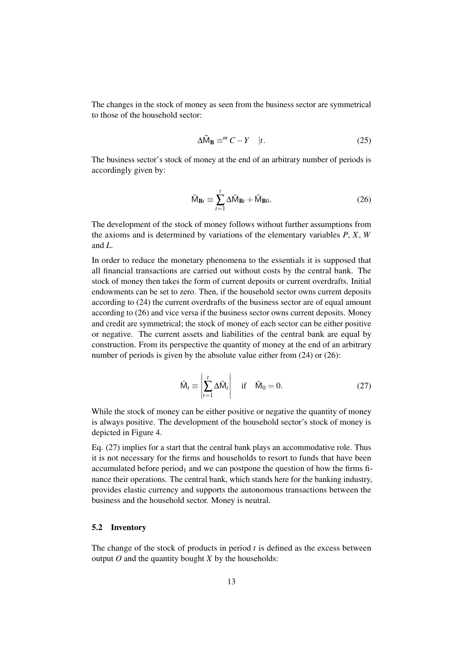The changes in the stock of money as seen from the business sector are symmetrical to those of the household sector:

$$
\Delta \bar{\mathsf{M}}_{\mathbf{B}} \equiv^m C - Y \quad |t. \tag{25}
$$

The business sector's stock of money at the end of an arbitrary number of periods is accordingly given by:

$$
\bar{\mathbf{M}}_{\mathbf{B}t} \equiv \sum_{t=1}^{t} \Delta \bar{\mathbf{M}}_{\mathbf{B}t} + \bar{\mathbf{M}}_{\mathbf{B}0}.
$$
 (26)

The development of the stock of money follows without further assumptions from the axioms and is determined by variations of the elementary variables *P*, *X*, *W* and *L*.

In order to reduce the monetary phenomena to the essentials it is supposed that all financial transactions are carried out without costs by the central bank. The stock of money then takes the form of current deposits or current overdrafts. Initial endowments can be set to zero. Then, if the household sector owns current deposits according to (24) the current overdrafts of the business sector are of equal amount according to (26) and vice versa if the business sector owns current deposits. Money and credit are symmetrical; the stock of money of each sector can be either positive or negative. The current assets and liabilities of the central bank are equal by construction. From its perspective the quantity of money at the end of an arbitrary number of periods is given by the absolute value either from  $(24)$  or  $(26)$ :

$$
\bar{\mathsf{M}}_t \equiv \left| \sum_{t=1}^t \Delta \bar{\mathsf{M}}_t \right| \quad \text{if} \quad \bar{\mathsf{M}}_0 = 0. \tag{27}
$$

While the stock of money can be either positive or negative the quantity of money is always positive. The development of the household sector's stock of money is depicted in Figure 4.

Eq. (27) implies for a start that the central bank plays an accommodative role. Thus it is not necessary for the firms and households to resort to funds that have been accumulated before period<sub>1</sub> and we can postpone the question of how the firms finance their operations. The central bank, which stands here for the banking industry, provides elastic currency and supports the autonomous transactions between the business and the household sector. Money is neutral.

#### 5.2 Inventory

The change of the stock of products in period *t* is defined as the excess between output  $O$  and the quantity bought  $X$  by the households: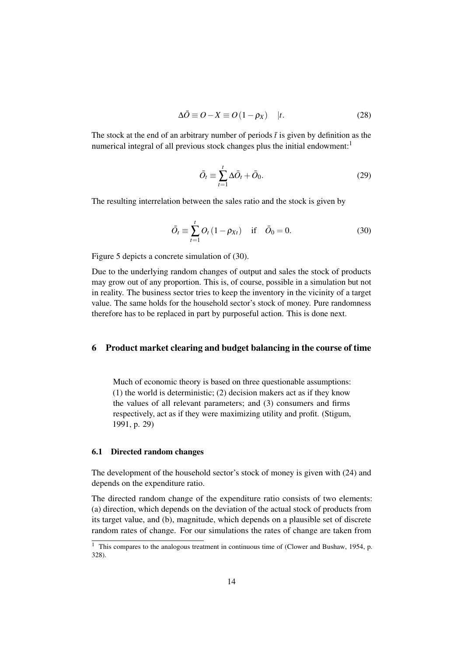$$
\Delta \bar{O} \equiv O - X \equiv O(1 - \rho_X) \quad |t. \tag{28}
$$

The stock at the end of an arbitrary number of periods  $\bar{t}$  is given by definition as the numerical integral of all previous stock changes plus the initial endowment:<sup>1</sup>

$$
\bar{O}_t \equiv \sum_{t=1}^t \Delta \bar{O}_t + \bar{O}_0. \tag{29}
$$

The resulting interrelation between the sales ratio and the stock is given by

$$
\bar{O}_t \equiv \sum_{t=1}^t O_t (1 - \rho_{Xt}) \quad \text{if} \quad \bar{O}_0 = 0. \tag{30}
$$

Figure 5 depicts a concrete simulation of (30).

Due to the underlying random changes of output and sales the stock of products may grow out of any proportion. This is, of course, possible in a simulation but not in reality. The business sector tries to keep the inventory in the vicinity of a target value. The same holds for the household sector's stock of money. Pure randomness therefore has to be replaced in part by purposeful action. This is done next.

#### 6 Product market clearing and budget balancing in the course of time

Much of economic theory is based on three questionable assumptions: (1) the world is deterministic; (2) decision makers act as if they know the values of all relevant parameters; and (3) consumers and firms respectively, act as if they were maximizing utility and profit. (Stigum, 1991, p. 29)

#### 6.1 Directed random changes

The development of the household sector's stock of money is given with (24) and depends on the expenditure ratio.

The directed random change of the expenditure ratio consists of two elements: (a) direction, which depends on the deviation of the actual stock of products from its target value, and (b), magnitude, which depends on a plausible set of discrete random rates of change. For our simulations the rates of change are taken from

<sup>&</sup>lt;sup>1</sup> This compares to the analogous treatment in continuous time of (Clower and Bushaw, 1954, p. 328).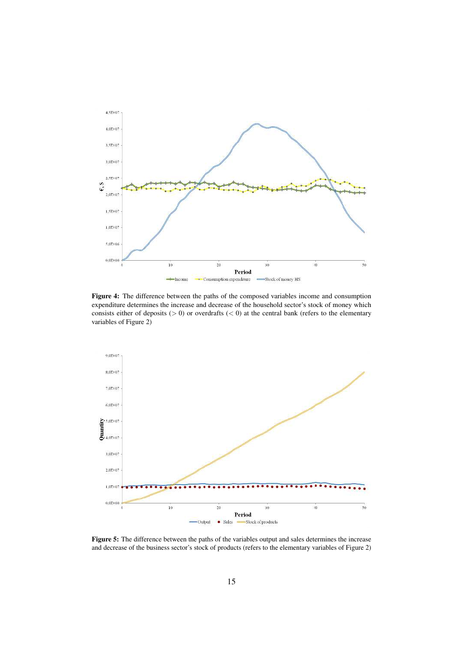

Figure 4: The difference between the paths of the composed variables income and consumption expenditure determines the increase and decrease of the household sector's stock of money which consists either of deposits ( $> 0$ ) or overdrafts ( $< 0$ ) at the central bank (refers to the elementary variables of Figure 2)



Figure 5: The difference between the paths of the variables output and sales determines the increase and decrease of the business sector's stock of products (refers to the elementary variables of Figure 2)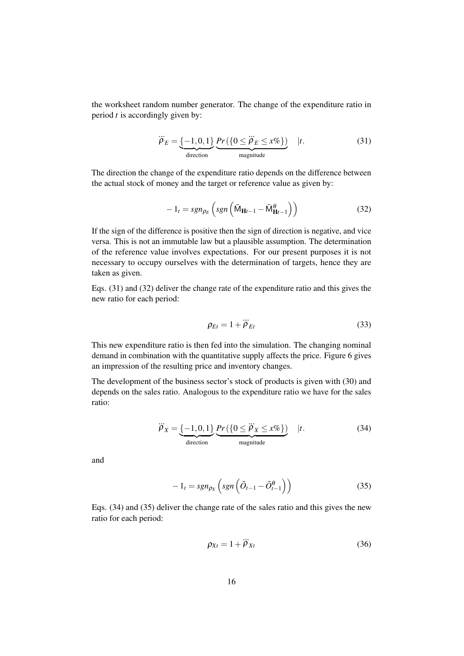the worksheet random number generator. The change of the expenditure ratio in period *t* is accordingly given by:

$$
\dddot{\rho}_E = \underbrace{\{-1, 0, 1\}}_{\text{direction}} \underbrace{Pr(\{0 \le \ddot{\rho}_E \le x\%)}_{\text{magnitude}} } |t. \tag{31}
$$

The direction the change of the expenditure ratio depends on the difference between the actual stock of money and the target or reference value as given by:

$$
-1_t = sgn_{\rho_E} \left( sgn \left( \bar{M}_{\mathbf{H}t-1} - \bar{M}_{\mathbf{H}t-1}^{\theta} \right) \right)
$$
 (32)

If the sign of the difference is positive then the sign of direction is negative, and vice versa. This is not an immutable law but a plausible assumption. The determination of the reference value involves expectations. For our present purposes it is not necessary to occupy ourselves with the determination of targets, hence they are taken as given.

Eqs. (31) and (32) deliver the change rate of the expenditure ratio and this gives the new ratio for each period:

$$
\rho_{Et} = 1 + \ddot{\rho}_{Et} \tag{33}
$$

This new expenditure ratio is then fed into the simulation. The changing nominal demand in combination with the quantitative supply affects the price. Figure 6 gives an impression of the resulting price and inventory changes.

The development of the business sector's stock of products is given with (30) and depends on the sales ratio. Analogous to the expenditure ratio we have for the sales ratio:

$$
\ddot{\rho}_X = \underbrace{\{-1,0,1\}}_{\text{direction}} \underbrace{Pr(\{0 \le \ddot{\rho}_X \le x\%)}_{\text{magnitude}} } |t. \tag{34}
$$

and

$$
-1_t = sgn_{\rho_X} \left( sgn \left( \bar{O}_{t-1} - \bar{O}_{t-1}^{\theta} \right) \right) \tag{35}
$$

Eqs. (34) and (35) deliver the change rate of the sales ratio and this gives the new ratio for each period:

$$
\rho_{Xt} = 1 + \ddot{\rho}_{Xt} \tag{36}
$$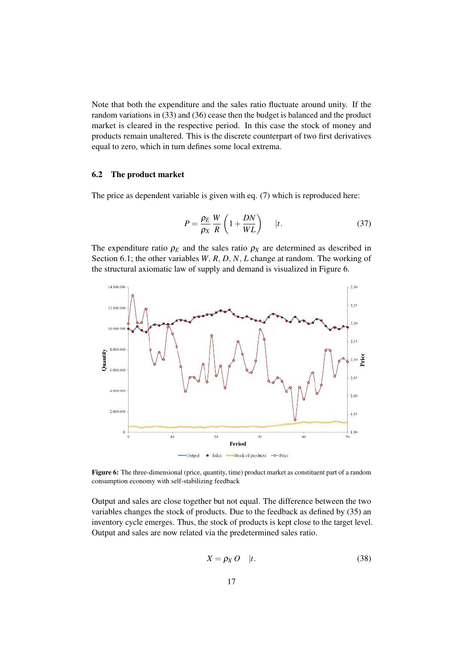Note that both the expenditure and the sales ratio fluctuate around unity. If the random variations in (33) and (36) cease then the budget is balanced and the product market is cleared in the respective period. In this case the stock of money and products remain unaltered. This is the discrete counterpart of two first derivatives equal to zero, which in turn defines some local extrema.

#### 6.2 The product market

The price as dependent variable is given with eq. (7) which is reproduced here:

$$
P = \frac{\rho_E}{\rho_X} \frac{W}{R} \left( 1 + \frac{DN}{WL} \right) \qquad |t. \tag{37}
$$

The expenditure ratio  $\rho_E$  and the sales ratio  $\rho_X$  are determined as described in Section 6.1; the other variables *W*, *R*, *D*, *N*, *L* change at random. The working of the structural axiomatic law of supply and demand is visualized in Figure 6.



Figure 6: The three-dimensional (price, quantity, time) product market as constituent part of a random consumption economy with self-stabilizing feedback

Output and sales are close together but not equal. The difference between the two variables changes the stock of products. Due to the feedback as defined by (35) an inventory cycle emerges. Thus, the stock of products is kept close to the target level. Output and sales are now related via the predetermined sales ratio.

$$
X = \rho_X O \quad |t. \tag{38}
$$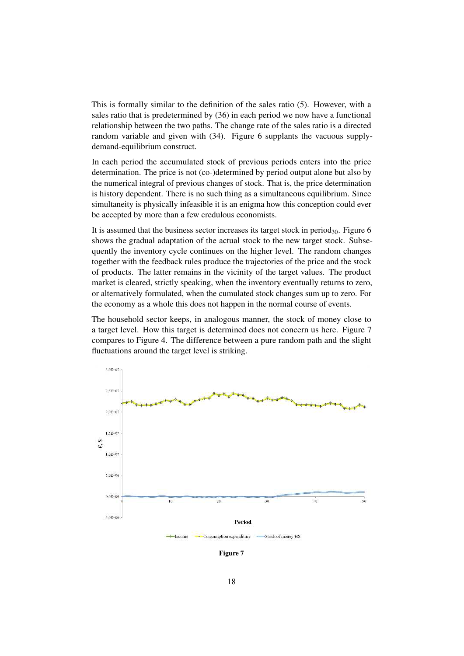This is formally similar to the definition of the sales ratio (5). However, with a sales ratio that is predetermined by (36) in each period we now have a functional relationship between the two paths. The change rate of the sales ratio is a directed random variable and given with (34). Figure 6 supplants the vacuous supplydemand-equilibrium construct.

In each period the accumulated stock of previous periods enters into the price determination. The price is not (co-)determined by period output alone but also by the numerical integral of previous changes of stock. That is, the price determination is history dependent. There is no such thing as a simultaneous equilibrium. Since simultaneity is physically infeasible it is an enigma how this conception could ever be accepted by more than a few credulous economists.

It is assumed that the business sector increases its target stock in period $_{30}$ . Figure 6 shows the gradual adaptation of the actual stock to the new target stock. Subsequently the inventory cycle continues on the higher level. The random changes together with the feedback rules produce the trajectories of the price and the stock of products. The latter remains in the vicinity of the target values. The product market is cleared, strictly speaking, when the inventory eventually returns to zero, or alternatively formulated, when the cumulated stock changes sum up to zero. For the economy as a whole this does not happen in the normal course of events.

The household sector keeps, in analogous manner, the stock of money close to a target level. How this target is determined does not concern us here. Figure 7 compares to Figure 4. The difference between a pure random path and the slight fluctuations around the target level is striking.



Figure 7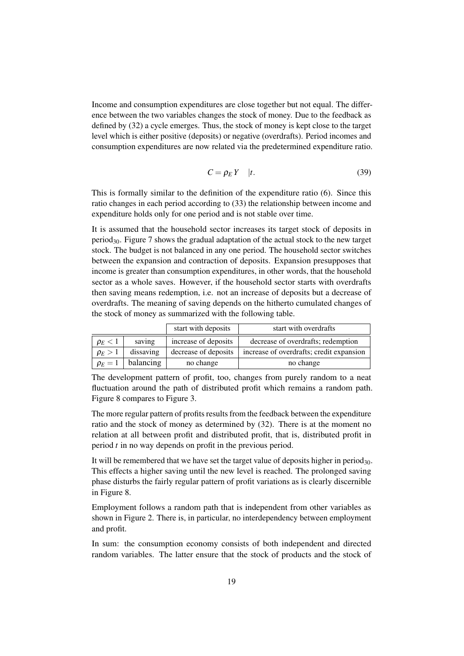Income and consumption expenditures are close together but not equal. The difference between the two variables changes the stock of money. Due to the feedback as defined by (32) a cycle emerges. Thus, the stock of money is kept close to the target level which is either positive (deposits) or negative (overdrafts). Period incomes and consumption expenditures are now related via the predetermined expenditure ratio.

$$
C = \rho_E Y \quad |t. \tag{39}
$$

This is formally similar to the definition of the expenditure ratio (6). Since this ratio changes in each period according to (33) the relationship between income and expenditure holds only for one period and is not stable over time.

It is assumed that the household sector increases its target stock of deposits in period30. Figure 7 shows the gradual adaptation of the actual stock to the new target stock. The budget is not balanced in any one period. The household sector switches between the expansion and contraction of deposits. Expansion presupposes that income is greater than consumption expenditures, in other words, that the household sector as a whole saves. However, if the household sector starts with overdrafts then saving means redemption, i.e. not an increase of deposits but a decrease of overdrafts. The meaning of saving depends on the hitherto cumulated changes of the stock of money as summarized with the following table.

|              |           | start with deposits  | start with overdrafts                    |
|--------------|-----------|----------------------|------------------------------------------|
| $\rho_E < 1$ | saving    | increase of deposits | decrease of overdrafts; redemption       |
| $\rho_E > 1$ | dissaving | decrease of deposits | increase of overdrafts; credit expansion |
| $\rho_E=1$   | balancing | no change            | no change                                |

The development pattern of profit, too, changes from purely random to a neat fluctuation around the path of distributed profit which remains a random path. Figure 8 compares to Figure 3.

The more regular pattern of profits results from the feedback between the expenditure ratio and the stock of money as determined by (32). There is at the moment no relation at all between profit and distributed profit, that is, distributed profit in period *t* in no way depends on profit in the previous period.

It will be remembered that we have set the target value of deposits higher in period<sub>30</sub>. This effects a higher saving until the new level is reached. The prolonged saving phase disturbs the fairly regular pattern of profit variations as is clearly discernible in Figure 8.

Employment follows a random path that is independent from other variables as shown in Figure 2. There is, in particular, no interdependency between employment and profit.

In sum: the consumption economy consists of both independent and directed random variables. The latter ensure that the stock of products and the stock of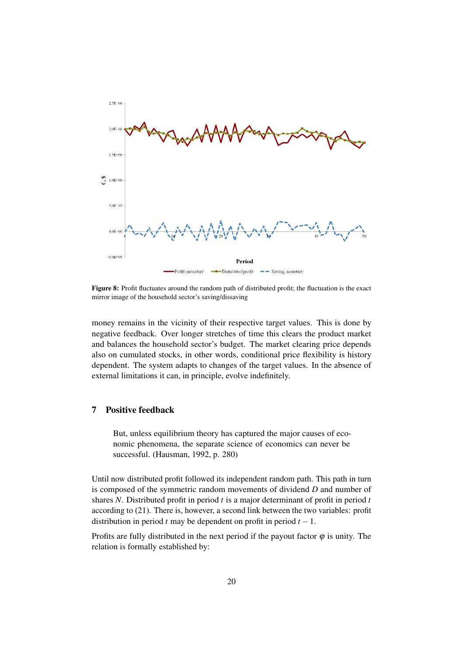

Figure 8: Profit fluctuates around the random path of distributed profit; the fluctuation is the exact mirror image of the household sector's saving/dissaving

money remains in the vicinity of their respective target values. This is done by negative feedback. Over longer stretches of time this clears the product market and balances the household sector's budget. The market clearing price depends also on cumulated stocks, in other words, conditional price flexibility is history dependent. The system adapts to changes of the target values. In the absence of external limitations it can, in principle, evolve indefinitely.

### 7 Positive feedback

But, unless equilibrium theory has captured the major causes of economic phenomena, the separate science of economics can never be successful. (Hausman, 1992, p. 280)

Until now distributed profit followed its independent random path. This path in turn is composed of the symmetric random movements of dividend *D* and number of shares *N*. Distributed profit in period *t* is a major determinant of profit in period *t* according to (21). There is, however, a second link between the two variables: profit distribution in period *t* may be dependent on profit in period  $t - 1$ .

Profits are fully distributed in the next period if the payout factor  $\varphi$  is unity. The relation is formally established by: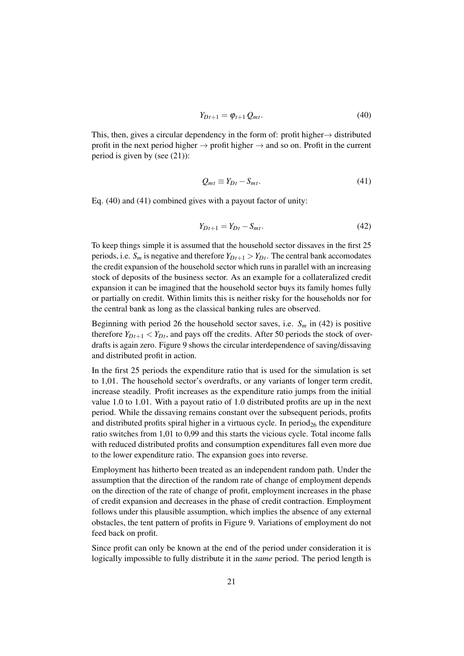$$
Y_{Dt+1} = \varphi_{t+1} Q_{mt}.
$$
\n(40)

This, then, gives a circular dependency in the form of: profit higher $\rightarrow$  distributed profit in the next period higher  $\rightarrow$  profit higher  $\rightarrow$  and so on. Profit in the current period is given by (see (21)):

$$
Q_{mt} \equiv Y_{Dt} - S_{mt}.\tag{41}
$$

Eq. (40) and (41) combined gives with a payout factor of unity:

$$
Y_{Dt+1} = Y_{Dt} - S_{mt}.\tag{42}
$$

To keep things simple it is assumed that the household sector dissaves in the first 25 periods, i.e.  $S_m$  is negative and therefore  $Y_{Dt+1} > Y_{Dt}$ . The central bank accomodates the credit expansion of the household sector which runs in parallel with an increasing stock of deposits of the business sector. As an example for a collateralized credit expansion it can be imagined that the household sector buys its family homes fully or partially on credit. Within limits this is neither risky for the households nor for the central bank as long as the classical banking rules are observed.

Beginning with period 26 the household sector saves, i.e.  $S_m$  in (42) is positive therefore  $Y_{Dt+1} < Y_{Dt}$ , and pays off the credits. After 50 periods the stock of overdrafts is again zero. Figure 9 shows the circular interdependence of saving/dissaving and distributed profit in action.

In the first 25 periods the expenditure ratio that is used for the simulation is set to 1,01. The household sector's overdrafts, or any variants of longer term credit, increase steadily. Profit increases as the expenditure ratio jumps from the initial value 1.0 to 1.01. With a payout ratio of 1.0 distributed profits are up in the next period. While the dissaving remains constant over the subsequent periods, profits and distributed profits spiral higher in a virtuous cycle. In period<sub>26</sub> the expenditure ratio switches from 1,01 to 0,99 and this starts the vicious cycle. Total income falls with reduced distributed profits and consumption expenditures fall even more due to the lower expenditure ratio. The expansion goes into reverse.

Employment has hitherto been treated as an independent random path. Under the assumption that the direction of the random rate of change of employment depends on the direction of the rate of change of profit, employment increases in the phase of credit expansion and decreases in the phase of credit contraction. Employment follows under this plausible assumption, which implies the absence of any external obstacles, the tent pattern of profits in Figure 9. Variations of employment do not feed back on profit.

Since profit can only be known at the end of the period under consideration it is logically impossible to fully distribute it in the *same* period. The period length is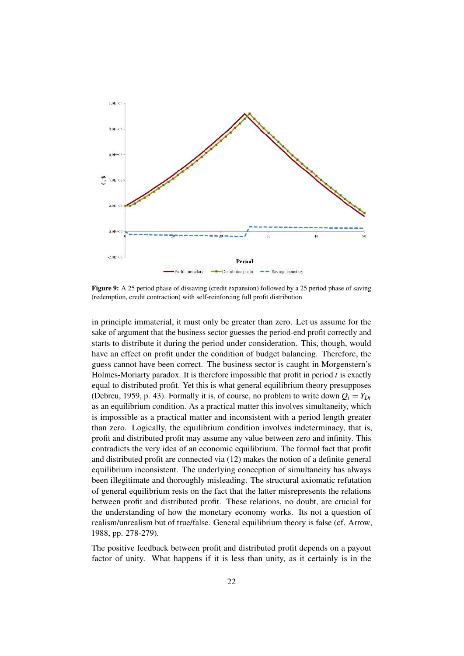

Figure 9: A 25 period phase of dissaving (credit expansion) followed by a 25 period phase of saving (redemption, credit contraction) with self-reinforcing full profit distribution

in principle immaterial, it must only be greater than zero. Let us assume for the sake of argument that the business sector guesses the period-end profit correctly and starts to distribute it during the period under consideration. This, though, would have an effect on profit under the condition of budget balancing. Therefore, the guess cannot have been correct. The business sector is caught in Morgenstern's Holmes-Moriarty paradox. It is therefore impossible that profit in period *t* is exactly equal to distributed profit. Yet this is what general equilibrium theory presupposes (Debreu, 1959, p. 43). Formally it is, of course, no problem to write down  $Q_t = Y_{Dt}$ as an equilibrium condition. As a practical matter this involves simultaneity, which is impossible as a practical matter and inconsistent with a period length greater than zero. Logically, the equilibrium condition involves indeterminacy, that is, profit and distributed profit may assume any value between zero and infinity. This contradicts the very idea of an economic equilibrium. The formal fact that profit and distributed profit are connected via (12) makes the notion of a definite general equilibrium inconsistent. The underlying conception of simultaneity has always been illegitimate and thoroughly misleading. The structural axiomatic refutation of general equilibrium rests on the fact that the latter misrepresents the relations between profit and distributed profit. These relations, no doubt, are crucial for the understanding of how the monetary economy works. Its not a question of realism/unrealism but of true/false. General equilibrium theory is false (cf. Arrow, 1988, pp. 278-279).

The positive feedback between profit and distributed profit depends on a payout factor of unity. What happens if it is less than unity, as it certainly is in the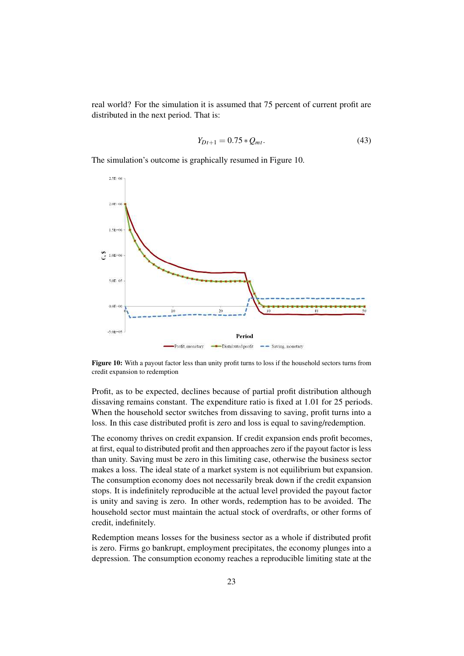real world? For the simulation it is assumed that 75 percent of current profit are distributed in the next period. That is:

$$
Y_{Dt+1} = 0.75 \times Q_{mt}.
$$
\n(43)

The simulation's outcome is graphically resumed in Figure 10.



Figure 10: With a payout factor less than unity profit turns to loss if the household sectors turns from credit expansion to redemption

Profit, as to be expected, declines because of partial profit distribution although dissaving remains constant. The expenditure ratio is fixed at 1.01 for 25 periods. When the household sector switches from dissaving to saving, profit turns into a loss. In this case distributed profit is zero and loss is equal to saving/redemption.

The economy thrives on credit expansion. If credit expansion ends profit becomes, at first, equal to distributed profit and then approaches zero if the payout factor is less than unity. Saving must be zero in this limiting case, otherwise the business sector makes a loss. The ideal state of a market system is not equilibrium but expansion. The consumption economy does not necessarily break down if the credit expansion stops. It is indefinitely reproducible at the actual level provided the payout factor is unity and saving is zero. In other words, redemption has to be avoided. The household sector must maintain the actual stock of overdrafts, or other forms of credit, indefinitely.

Redemption means losses for the business sector as a whole if distributed profit is zero. Firms go bankrupt, employment precipitates, the economy plunges into a depression. The consumption economy reaches a reproducible limiting state at the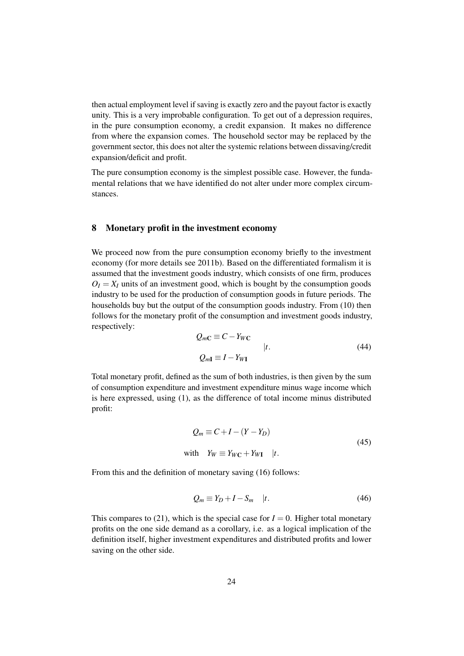then actual employment level if saving is exactly zero and the payout factor is exactly unity. This is a very improbable configuration. To get out of a depression requires, in the pure consumption economy, a credit expansion. It makes no difference from where the expansion comes. The household sector may be replaced by the government sector, this does not alter the systemic relations between dissaving/credit expansion/deficit and profit.

The pure consumption economy is the simplest possible case. However, the fundamental relations that we have identified do not alter under more complex circumstances.

### 8 Monetary profit in the investment economy

We proceed now from the pure consumption economy briefly to the investment economy (for more details see 2011b). Based on the differentiated formalism it is assumed that the investment goods industry, which consists of one firm, produces  $Q_I = X_I$  units of an investment good, which is bought by the consumption goods industry to be used for the production of consumption goods in future periods. The households buy but the output of the consumption goods industry. From (10) then follows for the monetary profit of the consumption and investment goods industry, respectively:

$$
Q_{mC} \equiv C - Y_{WC}
$$
  
\n
$$
Q_{mI} \equiv I - Y_{WI}
$$
  
\n(44)

Total monetary profit, defined as the sum of both industries, is then given by the sum of consumption expenditure and investment expenditure minus wage income which is here expressed, using (1), as the difference of total income minus distributed profit:

$$
Q_m \equiv C + I - (Y - Y_D)
$$
  
with  $Y_W \equiv Y_{WC} + Y_{WI} \quad |t.$  (45)

From this and the definition of monetary saving (16) follows:

$$
Q_m \equiv Y_D + I - S_m \quad |t. \tag{46}
$$

This compares to (21), which is the special case for  $I = 0$ . Higher total monetary profits on the one side demand as a corollary, i.e. as a logical implication of the definition itself, higher investment expenditures and distributed profits and lower saving on the other side.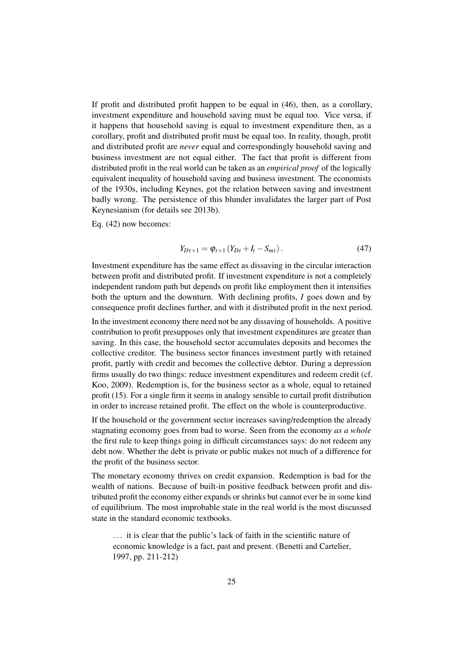If profit and distributed profit happen to be equal in (46), then, as a corollary, investment expenditure and household saving must be equal too. Vice versa, if it happens that household saving is equal to investment expenditure then, as a corollary, profit and distributed profit must be equal too. In reality, though, profit and distributed profit are *never* equal and correspondingly household saving and business investment are not equal either. The fact that profit is different from distributed profit in the real world can be taken as an *empirical proof* of the logically equivalent inequality of household saving and business investment. The economists of the 1930s, including Keynes, got the relation between saving and investment badly wrong. The persistence of this blunder invalidates the larger part of Post Keynesianism (for details see 2013b).

Eq. (42) now becomes:

$$
Y_{Dt+1} = \varphi_{t+1} (Y_{Dt} + I_t - S_{mt}). \tag{47}
$$

Investment expenditure has the same effect as dissaving in the circular interaction between profit and distributed profit. If investment expenditure is not a completely independent random path but depends on profit like employment then it intensifies both the upturn and the downturn. With declining profits, *I* goes down and by consequence profit declines further, and with it distributed profit in the next period.

In the investment economy there need not be any dissaving of households. A positive contribution to profit presupposes only that investment expenditures are greater than saving. In this case, the household sector accumulates deposits and becomes the collective creditor. The business sector finances investment partly with retained profit, partly with credit and becomes the collective debtor. During a depression firms usually do two things: reduce investment expenditures and redeem credit (cf. Koo, 2009). Redemption is, for the business sector as a whole, equal to retained profit (15). For a single firm it seems in analogy sensible to curtail profit distribution in order to increase retained profit. The effect on the whole is counterproductive.

If the household or the government sector increases saving/redemption the already stagnating economy goes from bad to worse. Seen from the economy *as a whole* the first rule to keep things going in difficult circumstances says: do not redeem any debt now. Whether the debt is private or public makes not much of a difference for the profit of the business sector.

The monetary economy thrives on credit expansion. Redemption is bad for the wealth of nations. Because of built-in positive feedback between profit and distributed profit the economy either expands or shrinks but cannot ever be in some kind of equilibrium. The most improbable state in the real world is the most discussed state in the standard economic textbooks.

. . . it is clear that the public's lack of faith in the scientific nature of economic knowledge is a fact, past and present. (Benetti and Cartelier, 1997, pp. 211-212)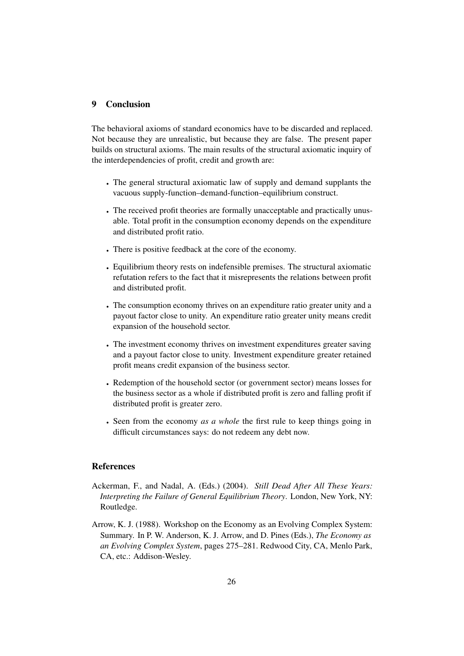#### 9 Conclusion

The behavioral axioms of standard economics have to be discarded and replaced. Not because they are unrealistic, but because they are false. The present paper builds on structural axioms. The main results of the structural axiomatic inquiry of the interdependencies of profit, credit and growth are:

- The general structural axiomatic law of supply and demand supplants the vacuous supply-function–demand-function–equilibrium construct.
- The received profit theories are formally unacceptable and practically unusable. Total profit in the consumption economy depends on the expenditure and distributed profit ratio.
- There is positive feedback at the core of the economy.
- Equilibrium theory rests on indefensible premises. The structural axiomatic refutation refers to the fact that it misrepresents the relations between profit and distributed profit.
- The consumption economy thrives on an expenditure ratio greater unity and a payout factor close to unity. An expenditure ratio greater unity means credit expansion of the household sector.
- The investment economy thrives on investment expenditures greater saving and a payout factor close to unity. Investment expenditure greater retained profit means credit expansion of the business sector.
- Redemption of the household sector (or government sector) means losses for the business sector as a whole if distributed profit is zero and falling profit if distributed profit is greater zero.
- Seen from the economy *as a whole* the first rule to keep things going in difficult circumstances says: do not redeem any debt now.

### References

- Ackerman, F., and Nadal, A. (Eds.) (2004). *Still Dead After All These Years: Interpreting the Failure of General Equilibrium Theory*. London, New York, NY: Routledge.
- Arrow, K. J. (1988). Workshop on the Economy as an Evolving Complex System: Summary. In P. W. Anderson, K. J. Arrow, and D. Pines (Eds.), *The Economy as an Evolving Complex System*, pages 275–281. Redwood City, CA, Menlo Park, CA, etc.: Addison-Wesley.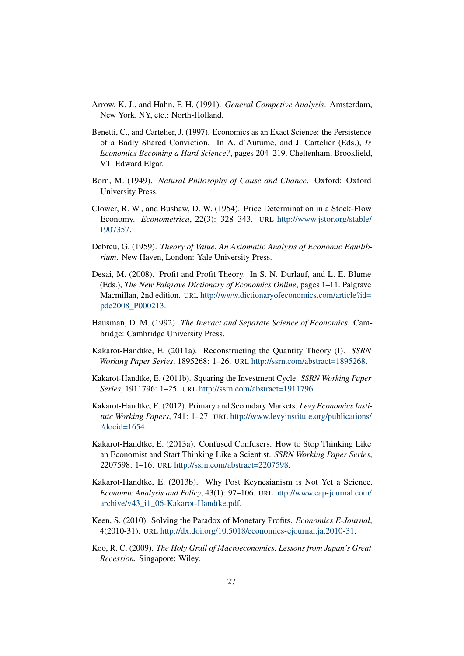- Arrow, K. J., and Hahn, F. H. (1991). *General Competive Analysis*. Amsterdam, New York, NY, etc.: North-Holland.
- Benetti, C., and Cartelier, J. (1997). Economics as an Exact Science: the Persistence of a Badly Shared Conviction. In A. d'Autume, and J. Cartelier (Eds.), *Is Economics Becoming a Hard Science?*, pages 204–219. Cheltenham, Brookfield, VT: Edward Elgar.
- Born, M. (1949). *Natural Philosophy of Cause and Chance*. Oxford: Oxford University Press.
- Clower, R. W., and Bushaw, D. W. (1954). Price Determination in a Stock-Flow Economy. *Econometrica*, 22(3): 328–343. URL http://www.jstor.org/stable/ 1907357.
- Debreu, G. (1959). *Theory of Value. An Axiomatic Analysis of Economic Equilibrium*. New Haven, London: Yale University Press.
- Desai, M. (2008). Profit and Profit Theory. In S. N. Durlauf, and L. E. Blume (Eds.), *The New Palgrave Dictionary of Economics Online*, pages 1–11. Palgrave Macmillan, 2nd edition. URL http://www.dictionaryofeconomics.com/article?id= pde2008\_P000213.
- Hausman, D. M. (1992). *The Inexact and Separate Science of Economics*. Cambridge: Cambridge University Press.
- Kakarot-Handtke, E. (2011a). Reconstructing the Quantity Theory (I). *SSRN Working Paper Series*, 1895268: 1–26. URL http://ssrn.com/abstract=1895268.
- Kakarot-Handtke, E. (2011b). Squaring the Investment Cycle. *SSRN Working Paper Series*, 1911796: 1–25. URL http://ssrn.com/abstract=1911796.
- Kakarot-Handtke, E. (2012). Primary and Secondary Markets. *Levy Economics Institute Working Papers*, 741: 1–27. URL http://www.levyinstitute.org/publications/ ?docid=1654.
- Kakarot-Handtke, E. (2013a). Confused Confusers: How to Stop Thinking Like an Economist and Start Thinking Like a Scientist. *SSRN Working Paper Series*, 2207598: 1–16. URL http://ssrn.com/abstract=2207598.
- Kakarot-Handtke, E. (2013b). Why Post Keynesianism is Not Yet a Science. *Economic Analysis and Policy*, 43(1): 97–106. URL http://www.eap-journal.com/ archive/v43\_i1\_06-Kakarot-Handtke.pdf.
- Keen, S. (2010). Solving the Paradox of Monetary Profits. *Economics E-Journal*, 4(2010-31). URL http://dx.doi.org/10.5018/economics-ejournal.ja.2010-31.
- Koo, R. C. (2009). *The Holy Grail of Macroeconomics. Lessons from Japan's Great Recession.* Singapore: Wiley.